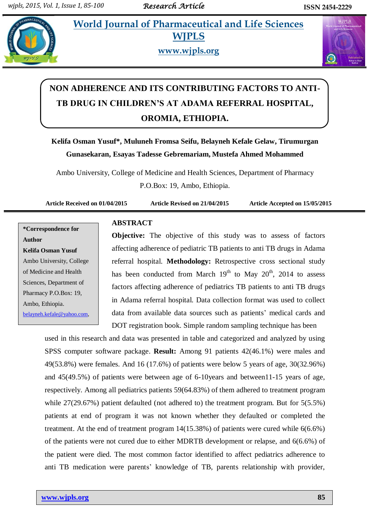*<u>Etg.* **World Journal of Pharmaceutical and Life Sciences**</u> **WJPLS**



**www.wjpls.org**



# **NON ADHERENCE AND ITS CONTRIBUTING FACTORS TO ANTI-TB DRUG IN CHILDREN'S AT ADAMA REFERRAL HOSPITAL, OROMIA, ETHIOPIA.**

**Kelifa Osman Yusuf\*, Muluneh Fromsa Seifu, Belayneh Kefale Gelaw, Tirumurgan Gunasekaran, Esayas Tadesse Gebremariam, Mustefa Ahmed Mohammed**

Ambo University, College of Medicine and Health Sciences, Department of Pharmacy P.O.Box: 19, Ambo, Ethiopia.

**Article Received on 01/04/2015 Article Revised on 21/04/2015 Article Accepted on 15/05/2015**

**\*Correspondence for Author Kelifa Osman Yusuf** Ambo University, College of Medicine and Health Sciences, Department of Pharmacy P.O.Box: 19, Ambo, Ethiopia. [belayneh.kefale@yahoo.com,](mailto:belayneh.kefale@yahoo.com)

## **ABSTRACT**

**Objective:** The objective of this study was to assess of factors affecting adherence of pediatric TB patients to anti TB drugs in Adama referral hospital. **Methodology:** Retrospective cross sectional study has been conducted from March  $19<sup>th</sup>$  to May  $20<sup>th</sup>$ , 2014 to assess factors affecting adherence of pediatrics TB patients to anti TB drugs in Adama referral hospital. Data collection format was used to collect data from available data sources such as patients' medical cards and DOT registration book. Simple random sampling technique has been

used in this research and data was presented in table and categorized and analyzed by using SPSS computer software package. **Result:** Among 91 patients 42(46.1%) were males and 49(53.8%) were females. And 16 (17.6%) of patients were below 5 years of age, 30(32.96%) and 45(49.5%) of patients were between age of 6-10years and between11-15 years of age, respectively. Among all pediatrics patients 59(64.83%) of them adhered to treatment program while 27(29.67%) patient defaulted (not adhered to) the treatment program. But for 5(5.5%) patients at end of program it was not known whether they defaulted or completed the treatment. At the end of treatment program 14(15.38%) of patients were cured while 6(6.6%) of the patients were not cured due to either MDRTB development or relapse, and 6(6.6%) of the patient were died. The most common factor identified to affect pediatrics adherence to anti TB medication were parents" knowledge of TB, parents relationship with provider,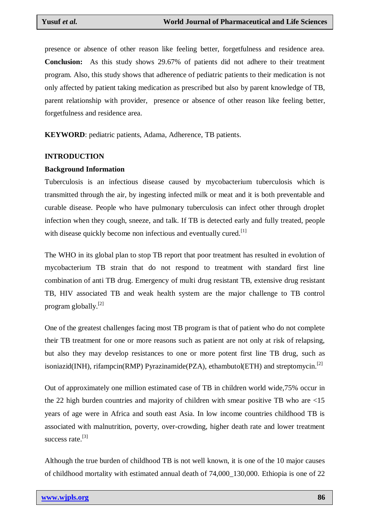presence or absence of other reason like feeling better, forgetfulness and residence area. **Conclusion:** As this study shows 29.67% of patients did not adhere to their treatment program. Also, this study shows that adherence of pediatric patients to their medication is not only affected by patient taking medication as prescribed but also by parent knowledge of TB, parent relationship with provider, presence or absence of other reason like feeling better, forgetfulness and residence area.

**KEYWORD**: pediatric patients, Adama, Adherence, TB patients.

#### **INTRODUCTION**

#### **Background Information**

Tuberculosis is an infectious disease caused by mycobacterium tuberculosis which is transmitted through the air, by ingesting infected milk or meat and it is both preventable and curable disease. People who have pulmonary tuberculosis can infect other through droplet infection when they cough, sneeze, and talk. If TB is detected early and fully treated, people with disease quickly become non infectious and eventually cured.<sup>[1]</sup>

The WHO in its global plan to stop TB report that poor treatment has resulted in evolution of mycobacterium TB strain that do not respond to treatment with standard first line combination of anti TB drug. Emergency of multi drug resistant TB, extensive drug resistant TB, HIV associated TB and weak health system are the major challenge to TB control program globally. [2]

One of the greatest challenges facing most TB program is that of patient who do not complete their TB treatment for one or more reasons such as patient are not only at risk of relapsing, but also they may develop resistances to one or more potent first line TB drug, such as isoniazid(INH), rifampcin(RMP) Pyrazinamide(PZA), ethambutol(ETH) and streptomycin.<sup>[2]</sup>

Out of approximately one million estimated case of TB in children world wide,75% occur in the 22 high burden countries and majority of children with smear positive TB who are <15 years of age were in Africa and south east Asia. In low income countries childhood TB is associated with malnutrition, poverty, over-crowding, higher death rate and lower treatment success rate.<sup>[3]</sup>

Although the true burden of childhood TB is not well known, it is one of the 10 major causes of childhood mortality with estimated annual death of 74,000\_130,000. Ethiopia is one of 22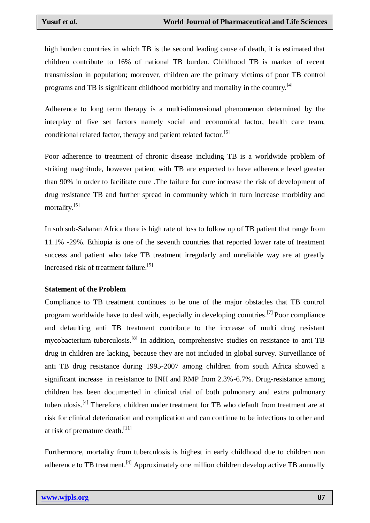high burden countries in which TB is the second leading cause of death, it is estimated that children contribute to 16% of national TB burden. Childhood TB is marker of recent transmission in population; moreover, children are the primary victims of poor TB control programs and TB is significant childhood morbidity and mortality in the country.[4]

Adherence to long term therapy is a multi-dimensional phenomenon determined by the interplay of five set factors namely social and economical factor, health care team, conditional related factor, therapy and patient related factor.<sup>[6]</sup>

Poor adherence to treatment of chronic disease including TB is a worldwide problem of striking magnitude, however patient with TB are expected to have adherence level greater than 90% in order to facilitate cure .The failure for cure increase the risk of development of drug resistance TB and further spread in community which in turn increase morbidity and mortality.<sup>[5]</sup>

In sub sub-Saharan Africa there is high rate of loss to follow up of TB patient that range from 11.1% -29%. Ethiopia is one of the seventh countries that reported lower rate of treatment success and patient who take TB treatment irregularly and unreliable way are at greatly increased risk of treatment failure.<sup>[5]</sup>

## **Statement of the Problem**

Compliance to TB treatment continues to be one of the major obstacles that TB control program worldwide have to deal with, especially in developing countries.<sup>[7]</sup> Poor compliance and defaulting anti TB treatment contribute to the increase of multi drug resistant mycobacterium tuberculosis.[8] In addition, comprehensive studies on resistance to anti TB drug in children are lacking, because they are not included in global survey. Surveillance of anti TB drug resistance during 1995-2007 among children from south Africa showed a significant increase in resistance to INH and RMP from 2.3%-6.7%. Drug-resistance among children has been documented in clinical trial of both pulmonary and extra pulmonary tuberculosis.<sup>[4]</sup> Therefore, children under treatment for TB who default from treatment are at risk for clinical deterioration and complication and can continue to be infectious to other and at risk of premature death.<sup>[11]</sup>

Furthermore, mortality from tuberculosis is highest in early childhood due to children non adherence to TB treatment.<sup>[4]</sup> Approximately one million children develop active TB annually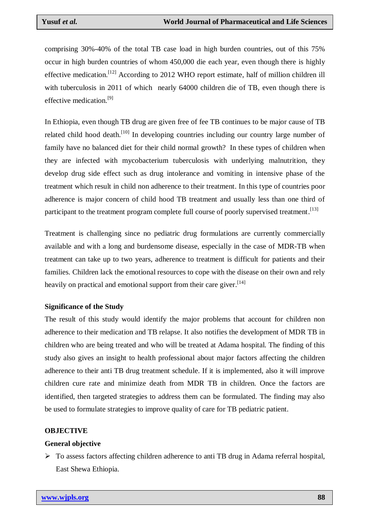comprising 30%-40% of the total TB case load in high burden countries, out of this 75% occur in high burden countries of whom 450,000 die each year, even though there is highly effective medication.<sup>[12]</sup> According to 2012 WHO report estimate, half of million children ill with tuberculosis in 2011 of which nearly 64000 children die of TB, even though there is effective medication.<sup>[9]</sup>

In Ethiopia, even though TB drug are given free of fee TB continues to be major cause of TB related child hood death.<sup>[10]</sup> In developing countries including our country large number of family have no balanced diet for their child normal growth? In these types of children when they are infected with mycobacterium tuberculosis with underlying malnutrition, they develop drug side effect such as drug intolerance and vomiting in intensive phase of the treatment which result in child non adherence to their treatment. In this type of countries poor adherence is major concern of child hood TB treatment and usually less than one third of participant to the treatment program complete full course of poorly supervised treatment.<sup>[13]</sup>

Treatment is challenging since no pediatric drug formulations are currently commercially available and with a long and burdensome disease, especially in the case of MDR-TB when treatment can take up to two years, adherence to treatment is difficult for patients and their families. Children lack the emotional resources to cope with the disease on their own and rely heavily on practical and emotional support from their care giver.<sup>[14]</sup>

## **Significance of the Study**

The result of this study would identify the major problems that account for children non adherence to their medication and TB relapse. It also notifies the development of MDR TB in children who are being treated and who will be treated at Adama hospital. The finding of this study also gives an insight to health professional about major factors affecting the children adherence to their anti TB drug treatment schedule. If it is implemented, also it will improve children cure rate and minimize death from MDR TB in children. Once the factors are identified, then targeted strategies to address them can be formulated. The finding may also be used to formulate strategies to improve quality of care for TB pediatric patient.

#### **OBJECTIVE**

## **General objective**

 To assess factors affecting children adherence to anti TB drug in Adama referral hospital, East Shewa Ethiopia.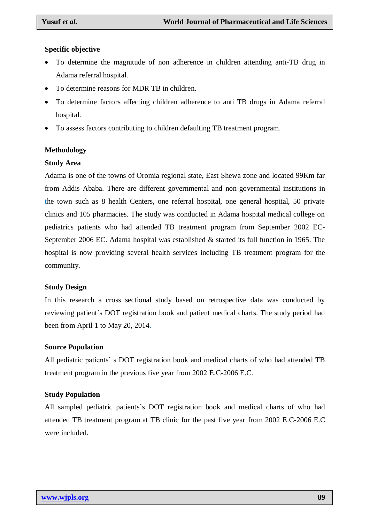## **Specific objective**

- To determine the magnitude of non adherence in children attending anti-TB drug in Adama referral hospital.
- To determine reasons for MDR TB in children.
- To determine factors affecting children adherence to anti TB drugs in Adama referral hospital.
- To assess factors contributing to children defaulting TB treatment program.

## **Methodology**

### **Study Area**

Adama is one of the towns of Oromia regional state, East Shewa zone and located 99Km far from Addis Ababa. There are different governmental and non-governmental institutions in the town such as 8 health Centers, one referral hospital, one general hospital, 50 private clinics and 105 pharmacies. The study was conducted in Adama hospital medical college on pediatrics patients who had attended TB treatment program from September 2002 EC-September 2006 EC. Adama hospital was established & started its full function in 1965. The hospital is now providing several health services including TB treatment program for the community.

## **Study Design**

In this research a cross sectional study based on retrospective data was conducted by reviewing patient`s DOT registration book and patient medical charts. The study period had been from April 1 to May 20, 2014.

## **Source Population**

All pediatric patients' s DOT registration book and medical charts of who had attended TB treatment program in the previous five year from 2002 E.C-2006 E.C.

## **Study Population**

All sampled pediatric patients"s DOT registration book and medical charts of who had attended TB treatment program at TB clinic for the past five year from 2002 E.C-2006 E.C were included.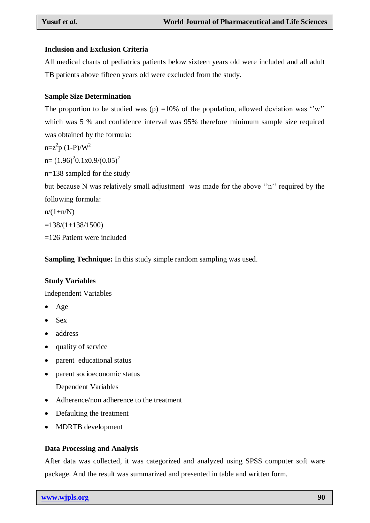## **Inclusion and Exclusion Criteria**

All medical charts of pediatrics patients below sixteen years old were included and all adult TB patients above fifteen years old were excluded from the study.

## **Sample Size Determination**

The proportion to be studied was (p) =10% of the population, allowed deviation was "w" which was 5 % and confidence interval was 95% therefore minimum sample size required was obtained by the formula:

 $n = z^2 p (1-P)/W^2$ 

 $n = (1.96)^2 0.1x0.9/(0.05)^2$ 

n=138 sampled for the study

but because N was relatively small adjustment was made for the above "n" required by the following formula:

 $n/(1+n/N)$ 

 $=138/(1+138/1500)$ 

=126 Patient were included

**Sampling Technique:** In this study simple random sampling was used.

#### **Study Variables**

Independent Variables

- Age
- Sex
- address
- quality of service
- parent educational status
- parent socioeconomic status
	- Dependent Variables
- Adherence/non adherence to the treatment
- Defaulting the treatment
- MDRTB development

## **Data Processing and Analysis**

After data was collected, it was categorized and analyzed using SPSS computer soft ware package. And the result was summarized and presented in table and written form.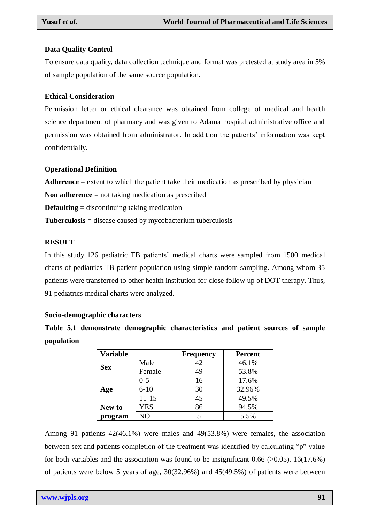## **Data Quality Control**

To ensure data quality, data collection technique and format was pretested at study area in 5% of sample population of the same source population.

## **Ethical Consideration**

Permission letter or ethical clearance was obtained from college of medical and health science department of pharmacy and was given to Adama hospital administrative office and permission was obtained from administrator. In addition the patients" information was kept confidentially.

## **Operational Definition**

**Adherence** = extent to which the patient take their medication as prescribed by physician

**Non adherence** = not taking medication as prescribed

**Defaulting** = discontinuing taking medication

**Tuberculosis** = disease caused by mycobacterium tuberculosis

## **RESULT**

In this study 126 pediatric TB patients" medical charts were sampled from 1500 medical charts of pediatrics TB patient population using simple random sampling. Among whom 35 patients were transferred to other health institution for close follow up of DOT therapy. Thus, 91 pediatrics medical charts were analyzed.

## **Socio-demographic characters**

|            |  | Table 5.1 demonstrate demographic characteristics and patient sources of sample |  |  |  |
|------------|--|---------------------------------------------------------------------------------|--|--|--|
| population |  |                                                                                 |  |  |  |

| <b>Variable</b> |            | <b>Frequency</b> | <b>Percent</b> |  |  |
|-----------------|------------|------------------|----------------|--|--|
| <b>Sex</b>      | Male       | 42               | 46.1%          |  |  |
|                 | Female     | 49               | 53.8%          |  |  |
|                 | $0 - 5$    | 16               | 17.6%          |  |  |
| Age             | $6 - 10$   | 30               | 32.96%         |  |  |
|                 | $11 - 15$  | 45               | 49.5%          |  |  |
| New to          | <b>YES</b> | 86               | 94.5%          |  |  |
| program         | NО         |                  | 5.5%           |  |  |

Among 91 patients 42(46.1%) were males and 49(53.8%) were females, the association between sex and patients completion of the treatment was identified by calculating "p" value for both variables and the association was found to be insignificant  $0.66$  ( $>0.05$ ). 16(17.6%) of patients were below 5 years of age, 30(32.96%) and 45(49.5%) of patients were between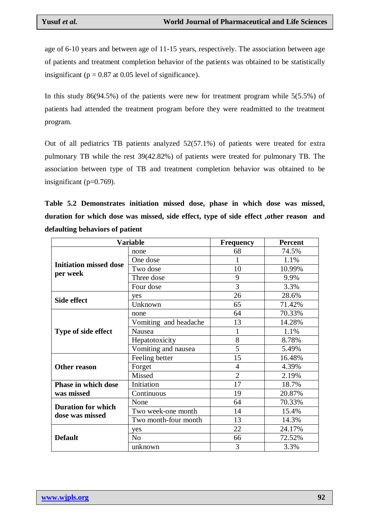age of 6-10 years and between age of 11-15 years, respectively. The association between age of patients and treatment completion behavior of the patients was obtained to be statistically insignificant ( $p = 0.87$  at 0.05 level of significance).

In this study 86(94.5%) of the patients were new for treatment program while 5(5.5%) of patients had attended the treatment program before they were readmitted to the treatment program.

Out of all pediatrics TB patients analyzed 52(57.1%) of patients were treated for extra pulmonary TB while the rest 39(42.82%) of patients were treated for pulmonary TB. The association between type of TB and treatment completion behavior was obtained to be insignificant (p=0.769).

**Table 5.2 Demonstrates initiation missed dose, phase in which dose was missed, duration for which dose was missed, side effect, type of side effect ,other reason and defaulting behaviors of patient** 

|                               | <b>Variable</b>       | Frequency      | <b>Percent</b> |
|-------------------------------|-----------------------|----------------|----------------|
|                               | none                  | 68             | 74.5%          |
| <b>Initiation missed dose</b> | One dose              |                | 1.1%           |
|                               | Two dose              | 10             | 10.99%         |
| per week                      | Three dose            | 9              | 9.9%           |
|                               | Four dose             | 3              | 3.3%           |
| Side effect                   | yes                   | 26             | 28.6%          |
|                               | Unknown               | 65             | 71.42%         |
|                               | none                  | 64             | 70.33%         |
|                               | Vomiting and headache | 13             | 14.28%         |
| Type of side effect           | Nausea                | 1              | 1.1%           |
|                               | Hepatotoxicity        | 8              | 8.78%          |
|                               | Vomiting and nausea   | 5              | 5.49%          |
|                               | Feeling better        | 15             | 16.48%         |
| <b>Other reason</b>           | Forget                | $\overline{4}$ | 4.39%          |
|                               | Missed                | $\overline{2}$ | 2.19%          |
| <b>Phase in which dose</b>    | Initiation            | 17             | 18.7%          |
| was missed                    | Continuous            | 19             | 20.87%         |
| <b>Duration for which</b>     | None                  | 64             | 70.33%         |
| dose was missed               | Two week-one month    | 14             | 15.4%          |
|                               | Two month-four month  | 13             | 14.3%          |
|                               | yes                   | 22             | 24.17%         |
| <b>Default</b>                | N <sub>o</sub>        | 66             | 72.52%         |
|                               | unknown               | 3              | 3.3%           |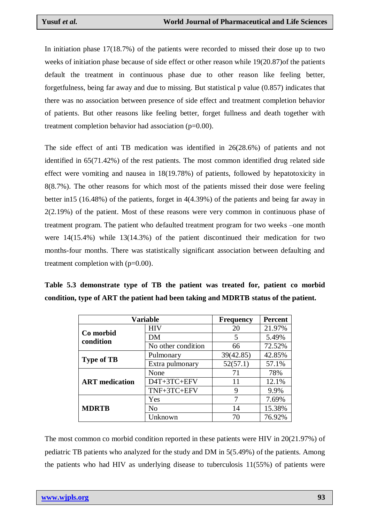In initiation phase 17(18.7%) of the patients were recorded to missed their dose up to two weeks of initiation phase because of side effect or other reason while 19(20.87)of the patients default the treatment in continuous phase due to other reason like feeling better, forgetfulness, being far away and due to missing. But statistical p value (0.857) indicates that there was no association between presence of side effect and treatment completion behavior of patients. But other reasons like feeling better, forget fullness and death together with treatment completion behavior had association (p=0.00).

The side effect of anti TB medication was identified in 26(28.6%) of patients and not identified in 65(71.42%) of the rest patients. The most common identified drug related side effect were vomiting and nausea in 18(19.78%) of patients, followed by hepatotoxicity in 8(8.7%). The other reasons for which most of the patients missed their dose were feeling better in15 (16.48%) of the patients, forget in 4(4.39%) of the patients and being far away in 2(2.19%) of the patient. Most of these reasons were very common in continuous phase of treatment program. The patient who defaulted treatment program for two weeks –one month were 14(15.4%) while 13(14.3%) of the patient discontinued their medication for two months-four months. There was statistically significant association between defaulting and treatment completion with (p=0.00).

| Table 5.3 demonstrate type of TB the patient was treated for, patient co morbid     |  |  |  |  |  |
|-------------------------------------------------------------------------------------|--|--|--|--|--|
| condition, type of ART the patient had been taking and MDRTB status of the patient. |  |  |  |  |  |

| <b>Variable</b>        | <b>Frequency</b>   | <b>Percent</b> |        |  |
|------------------------|--------------------|----------------|--------|--|
|                        | <b>HIV</b>         | 20             | 21.97% |  |
| Co morbid<br>condition | DM                 | 5              | 5.49%  |  |
|                        | No other condition | 66             | 72.52% |  |
|                        | Pulmonary          | 39(42.85)      | 42.85% |  |
| <b>Type of TB</b>      | Extra pulmonary    | 52(57.1)       | 57.1%  |  |
|                        | None               | 71             | 78%    |  |
| <b>ART</b> medication  | D4T+3TC+EFV        | 11             | 12.1%  |  |
|                        | TNF+3TC+EFV        | 9              | 9.9%   |  |
|                        | Yes                | 7              | 7.69%  |  |
| <b>MDRTB</b>           | N <sub>o</sub>     | 14             | 15.38% |  |
|                        | Unknown            | 70             | 76.92% |  |

The most common co morbid condition reported in these patients were HIV in 20(21.97%) of pediatric TB patients who analyzed for the study and DM in 5(5.49%) of the patients. Among the patients who had HIV as underlying disease to tuberculosis 11(55%) of patients were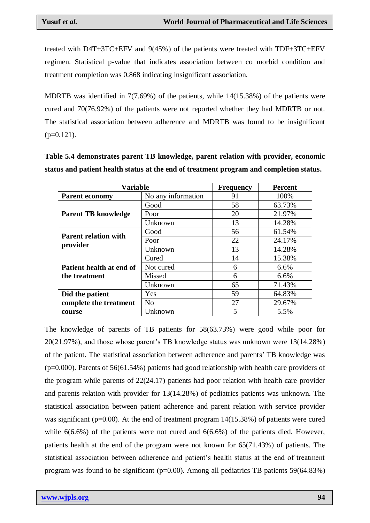treated with D4T+3TC+EFV and 9(45%) of the patients were treated with TDF+3TC+EFV regimen. Statistical p-value that indicates association between co morbid condition and treatment completion was 0.868 indicating insignificant association.

MDRTB was identified in 7(7.69%) of the patients, while 14(15.38%) of the patients were cured and 70(76.92%) of the patients were not reported whether they had MDRTB or not. The statistical association between adherence and MDRTB was found to be insignificant  $(p=0.121)$ .

**Table 5.4 demonstrates parent TB knowledge, parent relation with provider, economic status and patient health status at the end of treatment program and completion status.**

| <b>Variable</b>             | <b>Frequency</b>   | <b>Percent</b> |        |  |
|-----------------------------|--------------------|----------------|--------|--|
| <b>Parent economy</b>       | No any information | 91             | 100%   |  |
|                             | Good               | 58             | 63.73% |  |
| <b>Parent TB knowledge</b>  | Poor               | 20             | 21.97% |  |
|                             | Unknown            | 13             | 14.28% |  |
| <b>Parent relation with</b> | Good               | 56             | 61.54% |  |
|                             | Poor               | 22             | 24.17% |  |
| provider                    | Unknown            | 13             | 14.28% |  |
|                             | Cured              | 14             | 15.38% |  |
| Patient health at end of    | Not cured          | 6              | 6.6%   |  |
| the treatment               | Missed             | 6              | 6.6%   |  |
|                             | Unknown            | 65             | 71.43% |  |
| Did the patient             | Yes                | 59             | 64.83% |  |
| complete the treatment      | N <sub>o</sub>     | 27             | 29.67% |  |
| course                      | Unknown            | 5              | 5.5%   |  |

The knowledge of parents of TB patients for 58(63.73%) were good while poor for 20(21.97%), and those whose parent"s TB knowledge status was unknown were 13(14.28%) of the patient. The statistical association between adherence and parents" TB knowledge was (p=0.000). Parents of 56(61.54%) patients had good relationship with health care providers of the program while parents of 22(24.17) patients had poor relation with health care provider and parents relation with provider for 13(14.28%) of pediatrics patients was unknown. The statistical association between patient adherence and parent relation with service provider was significant ( $p=0.00$ ). At the end of treatment program  $14(15.38%)$  of patients were cured while 6(6.6%) of the patients were not cured and 6(6.6%) of the patients died. However, patients health at the end of the program were not known for 65(71.43%) of patients. The statistical association between adherence and patient"s health status at the end of treatment program was found to be significant ( $p=0.00$ ). Among all pediatrics TB patients 59(64.83%)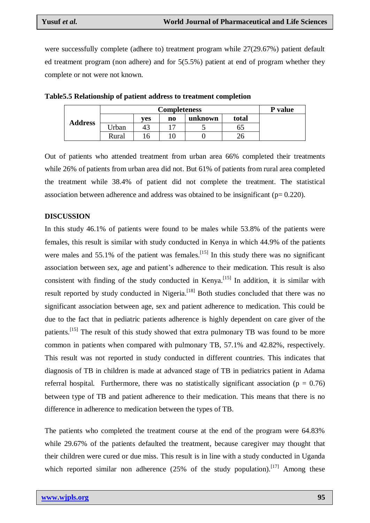were successfully complete (adhere to) treatment program while 27(29.67%) patient default ed treatment program (non adhere) and for 5(5.5%) patient at end of program whether they complete or not were not known.

|                |       | <b>P</b> value |    |         |       |  |
|----------------|-------|----------------|----|---------|-------|--|
| <b>Address</b> |       | <b>ves</b>     | n0 | unknown | total |  |
|                | Jrban |                | –  |         | כס    |  |
|                | Rural | h              |    |         | 26    |  |

**Table5.5 Relationship of patient address to treatment completion** 

Out of patients who attended treatment from urban area 66% completed their treatments while 26% of patients from urban area did not. But 61% of patients from rural area completed the treatment while 38.4% of patient did not complete the treatment. The statistical association between adherence and address was obtained to be insignificant ( $p= 0.220$ ).

#### **DISCUSSION**

In this study 46.1% of patients were found to be males while 53.8% of the patients were females, this result is similar with study conducted in Kenya in which 44.9% of the patients were males and  $55.1\%$  of the patient was females.<sup>[15]</sup> In this study there was no significant association between sex, age and patient's adherence to their medication. This result is also consistent with finding of the study conducted in Kenya.<sup>[15]</sup> In addition, it is similar with result reported by study conducted in Nigeria.<sup>[18]</sup> Both studies concluded that there was no significant association between age, sex and patient adherence to medication. This could be due to the fact that in pediatric patients adherence is highly dependent on care giver of the patients.<sup>[15]</sup> The result of this study showed that extra pulmonary TB was found to be more common in patients when compared with pulmonary TB, 57.1% and 42.82%, respectively. This result was not reported in study conducted in different countries. This indicates that diagnosis of TB in children is made at advanced stage of TB in pediatrics patient in Adama referral hospital. Furthermore, there was no statistically significant association ( $p = 0.76$ ) between type of TB and patient adherence to their medication. This means that there is no difference in adherence to medication between the types of TB.

The patients who completed the treatment course at the end of the program were 64.83% while 29.67% of the patients defaulted the treatment, because caregiver may thought that their children were cured or due miss. This result is in line with a study conducted in Uganda which reported similar non adherence  $(25\%$  of the study population).<sup>[17]</sup> Among these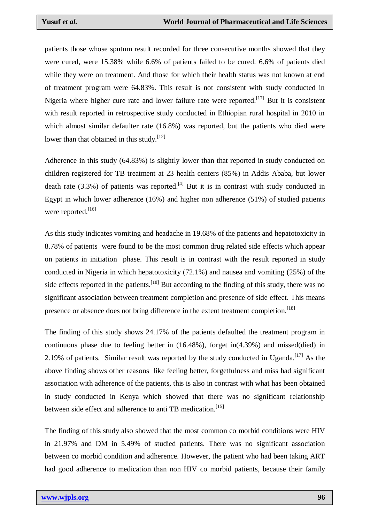patients those whose sputum result recorded for three consecutive months showed that they were cured, were 15.38% while 6.6% of patients failed to be cured. 6.6% of patients died while they were on treatment. And those for which their health status was not known at end of treatment program were 64.83%. This result is not consistent with study conducted in Nigeria where higher cure rate and lower failure rate were reported.<sup>[17]</sup> But it is consistent with result reported in retrospective study conducted in Ethiopian rural hospital in 2010 in which almost similar defaulter rate (16.8%) was reported, but the patients who died were lower than that obtained in this study.<sup>[12]</sup>

Adherence in this study (64.83%) is slightly lower than that reported in study conducted on children registered for TB treatment at 23 health centers (85%) in Addis Ababa, but lower death rate  $(3.3%)$  of patients was reported. <sup>[4]</sup> But it is in contrast with study conducted in Egypt in which lower adherence (16%) and higher non adherence (51%) of studied patients were reported.<sup>[16]</sup>

As this study indicates vomiting and headache in 19.68% of the patients and hepatotoxicity in 8.78% of patients were found to be the most common drug related side effects which appear on patients in initiation phase. This result is in contrast with the result reported in study conducted in Nigeria in which hepatotoxicity (72.1%) and nausea and vomiting (25%) of the side effects reported in the patients.<sup>[18]</sup> But according to the finding of this study, there was no significant association between treatment completion and presence of side effect. This means presence or absence does not bring difference in the extent treatment completion.<sup>[18]</sup>

The finding of this study shows 24.17% of the patients defaulted the treatment program in continuous phase due to feeling better in (16.48%), forget in(4.39%) and missed(died) in 2.19% of patients. Similar result was reported by the study conducted in Uganda.<sup>[17]</sup> As the above finding shows other reasons like feeling better, forgetfulness and miss had significant association with adherence of the patients, this is also in contrast with what has been obtained in study conducted in Kenya which showed that there was no significant relationship between side effect and adherence to anti TB medication.<sup>[15]</sup>

The finding of this study also showed that the most common co morbid conditions were HIV in 21.97% and DM in 5.49% of studied patients. There was no significant association between co morbid condition and adherence. However, the patient who had been taking ART had good adherence to medication than non HIV co morbid patients, because their family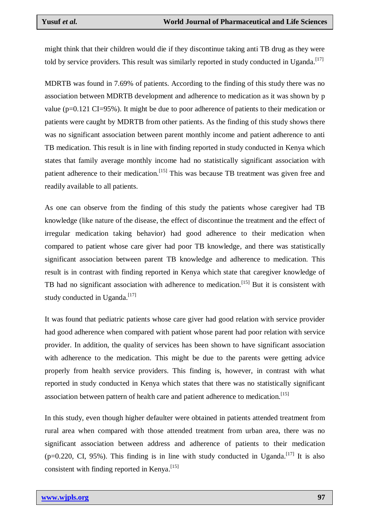might think that their children would die if they discontinue taking anti TB drug as they were told by service providers. This result was similarly reported in study conducted in Uganda.<sup>[17]</sup>

MDRTB was found in 7.69% of patients. According to the finding of this study there was no association between MDRTB development and adherence to medication as it was shown by p value (p=0.121 CI=95%). It might be due to poor adherence of patients to their medication or patients were caught by MDRTB from other patients. As the finding of this study shows there was no significant association between parent monthly income and patient adherence to anti TB medication. This result is in line with finding reported in study conducted in Kenya which states that family average monthly income had no statistically significant association with patient adherence to their medication.<sup>[15]</sup> This was because TB treatment was given free and readily available to all patients.

As one can observe from the finding of this study the patients whose caregiver had TB knowledge (like nature of the disease, the effect of discontinue the treatment and the effect of irregular medication taking behavior) had good adherence to their medication when compared to patient whose care giver had poor TB knowledge, and there was statistically significant association between parent TB knowledge and adherence to medication. This result is in contrast with finding reported in Kenya which state that caregiver knowledge of TB had no significant association with adherence to medication.<sup>[15]</sup> But it is consistent with study conducted in Uganda.<sup>[17]</sup>

It was found that pediatric patients whose care giver had good relation with service provider had good adherence when compared with patient whose parent had poor relation with service provider. In addition, the quality of services has been shown to have significant association with adherence to the medication. This might be due to the parents were getting advice properly from health service providers. This finding is, however, in contrast with what reported in study conducted in Kenya which states that there was no statistically significant association between pattern of health care and patient adherence to medication.<sup>[15]</sup>

In this study, even though higher defaulter were obtained in patients attended treatment from rural area when compared with those attended treatment from urban area, there was no significant association between address and adherence of patients to their medication  $(p=0.220, \text{ CI}, 95\%)$ . This finding is in line with study conducted in Uganda.<sup>[17]</sup> It is also consistent with finding reported in Kenya.<sup>[15]</sup>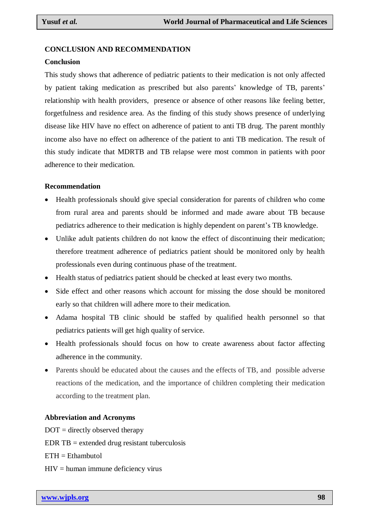#### **CONCLUSION AND RECOMMENDATION**

#### **Conclusion**

This study shows that adherence of pediatric patients to their medication is not only affected by patient taking medication as prescribed but also parents" knowledge of TB, parents" relationship with health providers, presence or absence of other reasons like feeling better, forgetfulness and residence area. As the finding of this study shows presence of underlying disease like HIV have no effect on adherence of patient to anti TB drug. The parent monthly income also have no effect on adherence of the patient to anti TB medication. The result of this study indicate that MDRTB and TB relapse were most common in patients with poor adherence to their medication.

#### **Recommendation**

- Health professionals should give special consideration for parents of children who come from rural area and parents should be informed and made aware about TB because pediatrics adherence to their medication is highly dependent on parent"s TB knowledge.
- Unlike adult patients children do not know the effect of discontinuing their medication; therefore treatment adherence of pediatrics patient should be monitored only by health professionals even during continuous phase of the treatment.
- Health status of pediatrics patient should be checked at least every two months.
- Side effect and other reasons which account for missing the dose should be monitored early so that children will adhere more to their medication.
- Adama hospital TB clinic should be staffed by qualified health personnel so that pediatrics patients will get high quality of service.
- Health professionals should focus on how to create awareness about factor affecting adherence in the community.
- Parents should be educated about the causes and the effects of TB, and possible adverse reactions of the medication, and the importance of children completing their medication according to the treatment plan.

#### **Abbreviation and Acronyms**

 $DOT =$  directly observed therapy EDR  $TB =$  extended drug resistant tuberculosis  $ETH = Ethambutol$  $HIV =$  human immune deficiency virus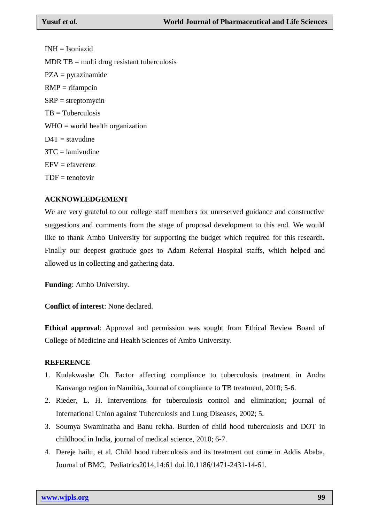INH = Isoniazid  $MDR TB =$  multi drug resistant tuberculosis PZA = pyrazinamide  $RMP = rifampcin$  $SRP =$  streptomycin  $TB = Tuberculosis$  $WHO =$  world health organization  $D4T =$  stavudine  $3TC =$ lamivudine  $EFV = e$ faverenz  $TDF = \text{tenofovir}$ 

## **ACKNOWLEDGEMENT**

We are very grateful to our college staff members for unreserved guidance and constructive suggestions and comments from the stage of proposal development to this end. We would like to thank Ambo University for supporting the budget which required for this research. Finally our deepest gratitude goes to Adam Referral Hospital staffs, which helped and allowed us in collecting and gathering data.

**Funding**: Ambo University.

**Conflict of interest**: None declared.

**Ethical approval**: Approval and permission was sought from Ethical Review Board of College of Medicine and Health Sciences of Ambo University.

## **REFERENCE**

- 1. Kudakwashe Ch. Factor affecting compliance to tuberculosis treatment in Andra Kanvango region in Namibia, Journal of compliance to TB treatment, 2010; 5-6.
- 2. Rieder, L. H. Interventions for tuberculosis control and elimination; journal of International Union against Tuberculosis and Lung Diseases, 2002; 5.
- 3. Soumya Swaminatha and Banu rekha. Burden of child hood tuberculosis and DOT in childhood in India, journal of medical science, 2010; 6-7.
- 4. Dereje hailu, et al. Child hood tuberculosis and its treatment out come in Addis Ababa, Journal of BMC, Pediatrics2014,14:61 doi.10.1186/1471-2431-14-61.